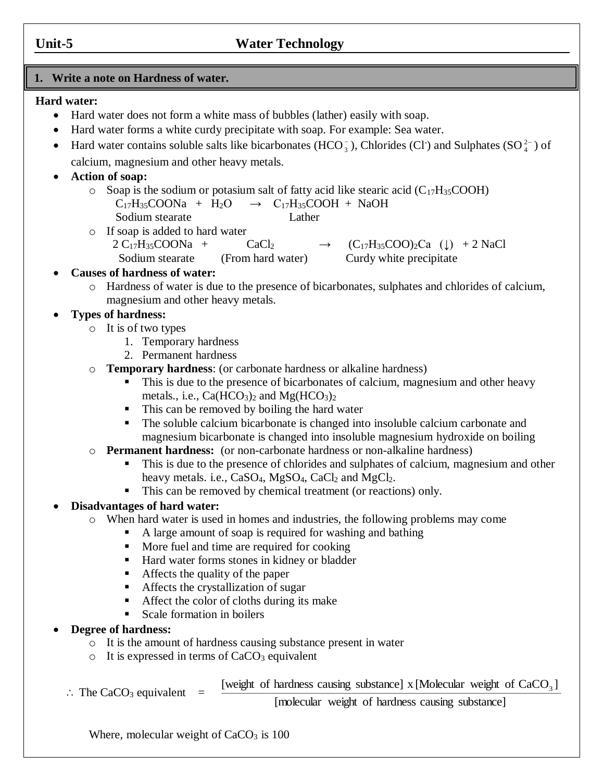# **Unit-5 Water Technology**

# **1. Write a note on Hardness of water.**

#### **Hard water:**

- Hard water does not form a white mass of bubbles (lather) easily with soap.
- Hard water forms a white curdy precipitate with soap. For example: Sea water.
- Hard water contains soluble salts like bicarbonates (HCO<sub>3</sub>), Chlorides (Cl<sup>-</sup>) and Sulphates (SO<sup>2</sup><sup>2</sup>  $_{4}^{2-}$ ) of calcium, magnesium and other heavy metals.
- **Action of soap:**
	- $\circ$  Soap is the sodium or potasium salt of fatty acid like stearic acid (C<sub>17</sub>H<sub>35</sub>COOH)  $C_{17}H_{35}COONa + H_2O \rightarrow C_{17}H_{35}COOH + NaOH$ Sodium stearate Lather
	- o If soap is added to hard water
		- $2 \text{ C}_{17}H_{35}COONa + \text{ CaCl}_2 \rightarrow (\text{C}_{17}H_{35}COO)_2\text{Ca}$  (↓) + 2 NaCl Sodium stearate (From hard water) Curdy white precipitate

# **Causes of hardness of water:**

o Hardness of water is due to the presence of bicarbonates, sulphates and chlorides of calcium, magnesium and other heavy metals.

# **Types of hardness:**

- o It is of two types
	- 1. Temporary hardness
	- 2. Permanent hardness
- o **Temporary hardness**: (or carbonate hardness or alkaline hardness)
	- This is due to the presence of bicarbonates of calcium, magnesium and other heavy metals., i.e.,  $Ca(HCO<sub>3</sub>)<sub>2</sub>$  and  $Mg(HCO<sub>3</sub>)<sub>2</sub>$
	- This can be removed by boiling the hard water
	- The soluble calcium bicarbonate is changed into insoluble calcium carbonate and magnesium bicarbonate is changed into insoluble magnesium hydroxide on boiling
- o **Permanent hardness:** (or non-carbonate hardness or non-alkaline hardness)
	- This is due to the presence of chlorides and sulphates of calcium, magnesium and other heavy metals. i.e.,  $CaSO_4$ ,  $MgSO_4$ ,  $CaCl_2$  and  $MgCl_2$ .
	- This can be removed by chemical treatment (or reactions) only.

# **Disadvantages of hard water:**

- o When hard water is used in homes and industries, the following problems may come
	- A large amount of soap is required for washing and bathing
		- More fuel and time are required for cooking
		- Hard water forms stones in kidney or bladder
		- Affects the quality of the paper
		- **Affects the crystallization of sugar**
		- Affect the color of cloths during its make
		- Scale formation in boilers

# **Degree of hardness:**

- o It is the amount of hardness causing substance present in water
- $\circ$  It is expressed in terms of CaCO<sub>3</sub> equivalent
- $\therefore$  The CaCO<sub>3</sub> equivalent =

[weight of hardness causing substance] x [Molecular weight of  $CaCO<sub>3</sub>$ ]

[molecular weight of hardness causing substance]

Where, molecular weight of  $CaCO<sub>3</sub>$  is 100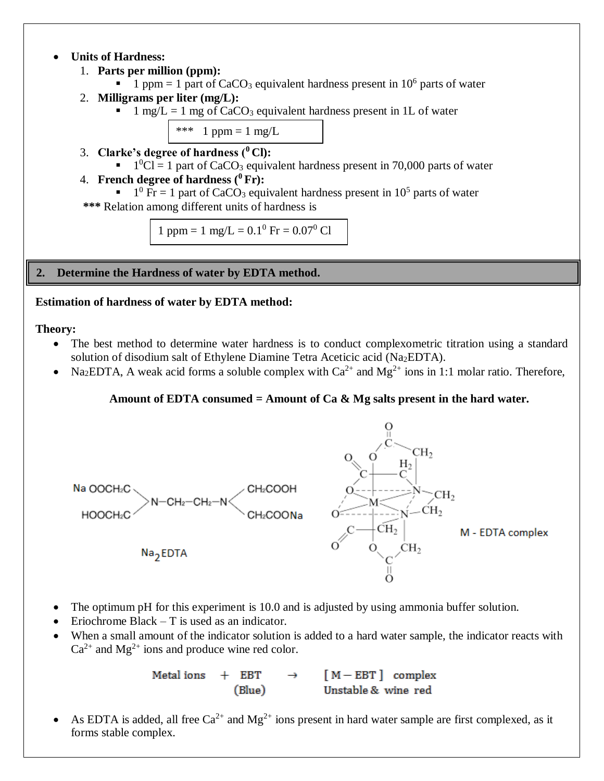# **Units of Hardness:**

- 1. **Parts per million (ppm):**
	- $\blacksquare$  1 ppm = 1 part of CaCO<sub>3</sub> equivalent hardness present in 10<sup>6</sup> parts of water
- 2. **Milligrams per liter (mg/L):**
	- $\blacksquare$  1 mg/L = 1 mg of CaCO<sub>3</sub> equivalent hardness present in 1L of water

\*\*\* 1 ppm = 1 mg/L

- 3. **Clarke's degree of hardness (<sup>0</sup> Cl):**
	- $1^0$ Cl = 1 part of CaCO<sub>3</sub> equivalent hardness present in 70,000 parts of water

# 4. **French degree of hardness (<sup>0</sup> Fr):**

 $1^0$  Fr = 1 part of CaCO<sub>3</sub> equivalent hardness present in 10<sup>5</sup> parts of water

 **\*\*\*** Relation among different units of hardness is

1 ppm = 1 mg/L =  $0.1^0$  Fr =  $0.07^0$  Cl

**2. Determine the Hardness of water by EDTA method.**

# **Estimation of hardness of water by EDTA method:**

# **Theory:**

- The best method to determine water hardness is to conduct complexometric titration using a standard solution of disodium salt of Ethylene Diamine Tetra Aceticic acid (Na<sub>2</sub>EDTA).
- Na<sub>2</sub>EDTA, A weak acid forms a soluble complex with  $Ca^{2+}$  and  $Mg^{2+}$  ions in 1:1 molar ratio. Therefore,

# **Amount of EDTA consumed = Amount of Ca & Mg salts present in the hard water.**



- The optimum pH for this experiment is 10.0 and is adjusted by using ammonia buffer solution.
- Eriochrome Black T is used as an indicator.
- When a small amount of the indicator solution is added to a hard water sample, the indicator reacts with  $Ca^{2+}$  and  $Mg^{2+}$  ions and produce wine red color.

 $+$  EBT  $\rightarrow$  [M-EBT] complex Metal ions Unstable & wine red (Blue)

As EDTA is added, all free  $Ca^{2+}$  and  $Mg^{2+}$  ions present in hard water sample are first complexed, as it forms stable complex.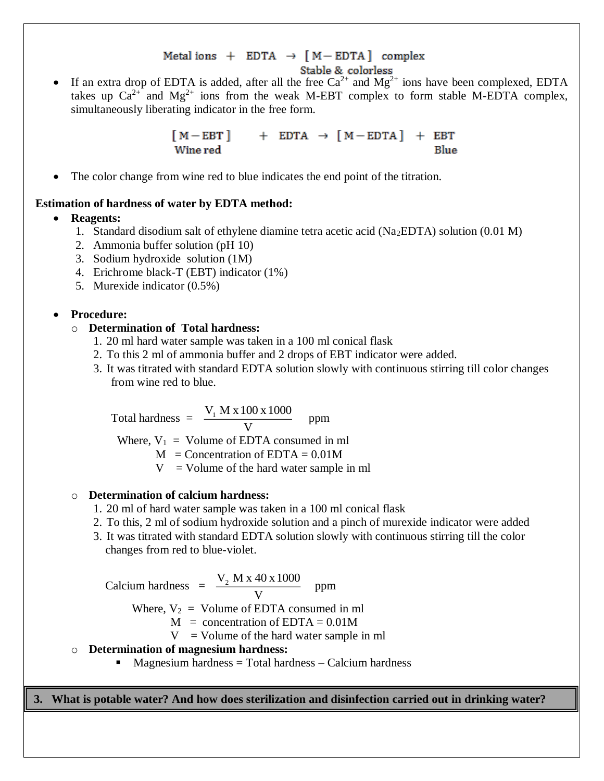# Metal ions  $+$  EDTA  $\rightarrow$  [M-EDTA] complex

- Stable & colorless
- If an extra drop of EDTA is added, after all the free  $Ca^{2+}$  and  $Mg^{2+}$  ions have been complexed, EDTA takes up  $Ca^{2+}$  and  $Mg^{2+}$  ions from the weak M-EBT complex to form stable M-EDTA complex, simultaneously liberating indicator in the free form.

 $[M - EBT]$  + EDTA  $\rightarrow$   $[M - EDTA]$  + EBT Wine red Blue

The color change from wine red to blue indicates the end point of the titration.

# **Estimation of hardness of water by EDTA method:**

**Reagents:**

- 1. Standard disodium salt of ethylene diamine tetra acetic acid (Na2EDTA) solution (0.01 M)
- 2. Ammonia buffer solution (pH 10)
- 3. Sodium hydroxide solution (1M)
- 4. Erichrome black-T (EBT) indicator (1%)
- 5. Murexide indicator (0.5%)

#### **Procedure:**

#### o **Determination of Total hardness:**

- 1. 20 ml hard water sample was taken in a 100 ml conical flask
- 2. To this 2 ml of ammonia buffer and 2 drops of EBT indicator were added.
- 3. It was titrated with standard EDTA solution slowly with continuous stirring till color changes from wine red to blue.

Total hardness  $=$   $\frac{V_1 M A I_0}{V}$  $\rm V_i$  M x 100 x 1000 ppm

Where,  $V_1$  = Volume of EDTA consumed in ml

 $M =$ Concentration of EDTA = 0.01M

 $V =$  Volume of the hard water sample in ml

#### o **Determination of calcium hardness:**

- 1. 20 ml of hard water sample was taken in a 100 ml conical flask
- 2. To this, 2 ml of sodium hydroxide solution and a pinch of murexide indicator were added
- 3. It was titrated with standard EDTA solution slowly with continuous stirring till the color changes from red to blue-violet.

Calcium hardness = 
$$
\frac{V_2 M \times 40 \times 1000}{V}
$$
 ppm

\nWhere,  $V_2$  = Volume of EDTA consumed in ml

\n $M$  = concentration of EDTA = 0.01M

\n $V$  = Volume of the hard water sample in ml

- o **Determination of magnesium hardness:**
	- $\blacksquare$  Magnesium hardness = Total hardness Calcium hardness

**3. What is potable water? And how does sterilization and disinfection carried out in drinking water?**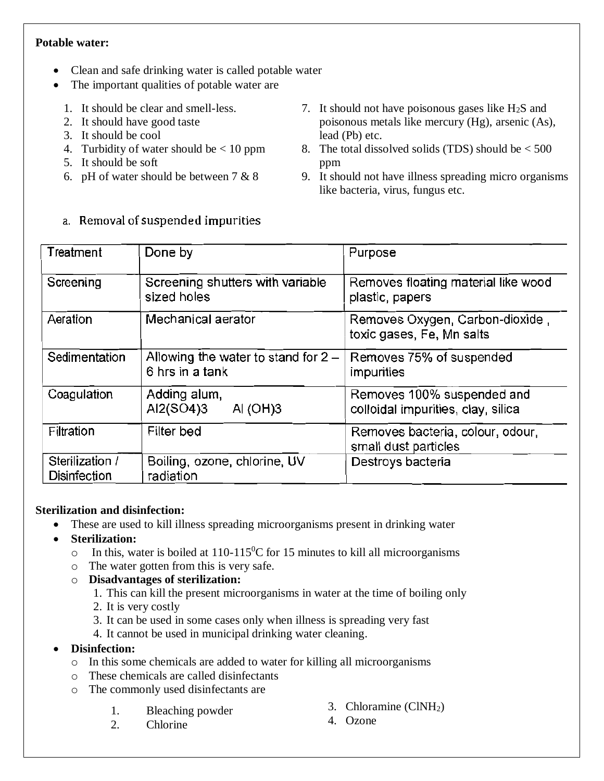# **Potable water:**

- Clean and safe drinking water is called potable water
- The important qualities of potable water are
	- 1. It should be clear and smell-less.
	- 2. It should have good taste
	- 3. It should be cool
	- 4. Turbidity of water should be  $< 10$  ppm
	- 5. It should be soft
	- 6. pH of water should be between 7 & 8

a. Removal of suspended impurities

- 7. It should not have poisonous gases like  $H_2S$  and poisonous metals like mercury (Hg), arsenic (As), lead (Pb) etc.
- 8. The total dissolved solids (TDS) should be  $<$  500 ppm
- 9. It should not have illness spreading micro organisms like bacteria, virus, fungus etc.

| Treatment                       | Done by                                                  | Purpose                                                          |  |  |  |  |
|---------------------------------|----------------------------------------------------------|------------------------------------------------------------------|--|--|--|--|
| Screening                       | Screening shutters with variable<br>sized holes          | Removes floating material like wood<br>plastic, papers           |  |  |  |  |
| Aeration                        | Mechanical aerator                                       | Removes Oxygen, Carbon-dioxide,<br>toxic gases, Fe, Mn salts     |  |  |  |  |
| Sedimentation                   | Allowing the water to stand for $2 -$<br>6 hrs in a tank | Removes 75% of suspended<br>impurities                           |  |  |  |  |
| Coagulation                     | Adding alum,<br>Al2(SO4)3<br>Al $(OH)3$                  | Removes 100% suspended and<br>colloidal impurities, clay, silica |  |  |  |  |
| Filtration                      | Filter bed                                               | Removes bacteria, colour, odour,<br>small dust particles         |  |  |  |  |
| Sterilization /<br>Disinfection | Boiling, ozone, chlorine, UV<br>radiation                | Destroys bacteria                                                |  |  |  |  |

# **Sterilization and disinfection:**

- These are used to kill illness spreading microorganisms present in drinking water
- **Sterilization:**
	- $\circ$  In this, water is boiled at 110-115<sup>0</sup>C for 15 minutes to kill all microorganisms
	- o The water gotten from this is very safe.
	- o **Disadvantages of sterilization:**
		- 1. This can kill the present microorganisms in water at the time of boiling only
		- 2. It is very costly
		- 3. It can be used in some cases only when illness is spreading very fast
		- 4. It cannot be used in municipal drinking water cleaning.
- **Disinfection:**
	- o In this some chemicals are added to water for killing all microorganisms
	- o These chemicals are called disinfectants
	- o The commonly used disinfectants are
		- 1. Bleaching powder

3. Chloramine (ClNH2)

2. Chlorine

4. Ozone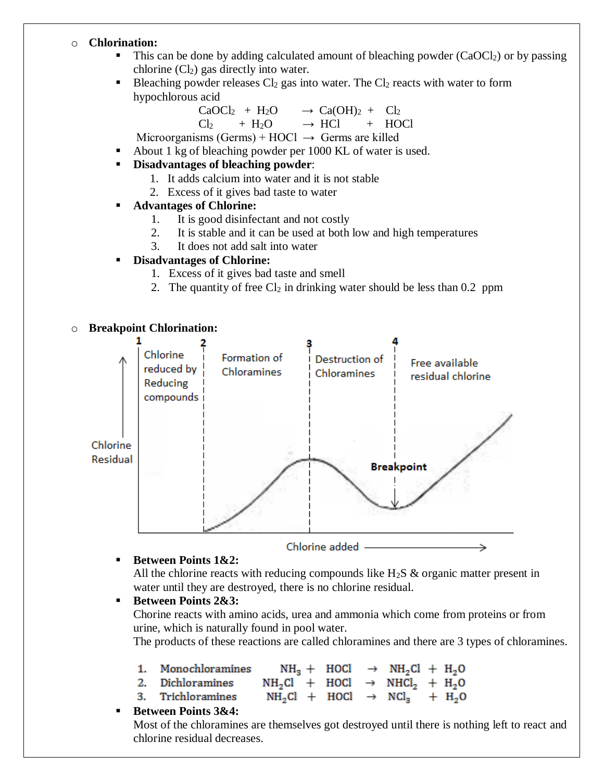#### o **Chlorination:**

- $\blacksquare$  This can be done by adding calculated amount of bleaching powder (CaOCl<sub>2</sub>) or by passing chlorine  $(Cl<sub>2</sub>)$  gas directly into water.
- Bleaching powder releases  $Cl_2$  gas into water. The  $Cl_2$  reacts with water to form hypochlorous acid

$$
CaOCl2 + H2O \longrightarrow Ca(OH)2 + Cl2
$$

 $Cl<sub>2</sub>$  + H<sub>2</sub>O  $\rightarrow$  HCl + HOCl

Microorganisms (Germs) + HOCl  $\rightarrow$  Germs are killed

- About 1 kg of bleaching powder per 1000 KL of water is used.
- **Disadvantages of bleaching powder**:
	- 1. It adds calcium into water and it is not stable
	- 2. Excess of it gives bad taste to water

#### **Advantages of Chlorine:**

- 1. It is good disinfectant and not costly
- 2. It is stable and it can be used at both low and high temperatures
- 3. It does not add salt into water

# **Disadvantages of Chlorine:**

- 1. Excess of it gives bad taste and smell
- 2. The quantity of free  $Cl_2$  in drinking water should be less than 0.2 ppm

#### o **Breakpoint Chlorination:**



#### **Between Points 1&2:**

All the chlorine reacts with reducing compounds like  $H_2S$  & organic matter present in water until they are destroyed, there is no chlorine residual.

■ Between Points 2&3:

Chorine reacts with amino acids, urea and ammonia which come from proteins or from urine, which is naturally found in pool water.

The products of these reactions are called chloramines and there are 3 types of chloramines.

| 1. Monochloramines | $NH_3$ + HOCl $\rightarrow$ NH <sub>2</sub> Cl + H <sub>2</sub> O |  |  |  |
|--------------------|-------------------------------------------------------------------|--|--|--|
|                    |                                                                   |  |  |  |

- $2.$ Dichloramines  $NH<sub>2</sub>Cl$  + HOCl  $\rightarrow$  NHCl<sub>2</sub> + H<sub>2</sub>O
- Trichloramines  $NH_2Cl$  + HOCl  $\rightarrow$  NCl<sub>2</sub> + H<sub>2</sub>O 3.

# **Between Points 3&4:**

Most of the chloramines are themselves got destroyed until there is nothing left to react and chlorine residual decreases.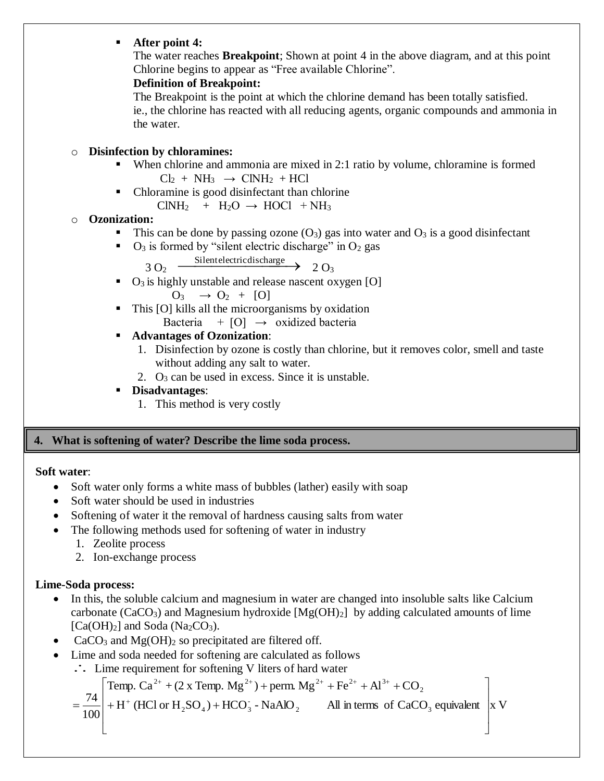# **After point 4:**

The water reaches **Breakpoint**; Shown at point 4 in the above diagram, and at this point Chlorine begins to appear as "Free available Chlorine".

# **Definition of Breakpoint:**

The Breakpoint is the point at which the chlorine demand has been totally satisfied. ie., the chlorine has reacted with all reducing agents, organic compounds and ammonia in the water.

# o **Disinfection by chloramines:**

- When chlorine and ammonia are mixed in 2:1 ratio by volume, chloramine is formed  $Cl<sub>2</sub> + NH<sub>3</sub> \rightarrow ClNH<sub>2</sub> + HCl$
- Chloramine is good disinfectant than chlorine  $CINH<sub>2</sub>$  + H<sub>2</sub>O  $\rightarrow$  HOCl + NH<sub>3</sub>

# o **Ozonization:**

- This can be done by passing ozone  $(O_3)$  gas into water and  $O_3$  is a good disinfectant
- $\bullet$  O<sub>3</sub> is formed by "silent electric discharge" in O<sub>2</sub> gas

 $3 \text{ O}_2$  Silent electric discharge  $2 \text{ O}_3$ 

- $\bullet$  O<sub>3</sub> is highly unstable and release nascent oxygen [O]  $O_3 \rightarrow O_2 + [O]$
- This [O] kills all the microorganisms by oxidation Bacteria +  $[0] \rightarrow$  oxidized bacteria
- **Advantages of Ozonization**:
	- 1. Disinfection by ozone is costly than chlorine, but it removes color, smell and taste without adding any salt to water.
	- 2.  $Q_3$  can be used in excess. Since it is unstable.

# **Disadvantages**:

1. This method is very costly

# **4. What is softening of water? Describe the lime soda process.**

# **Soft water**:

- Soft water only forms a white mass of bubbles (lather) easily with soap
- Soft water should be used in industries
- Softening of water it the removal of hardness causing salts from water
- The following methods used for softening of water in industry
	- 1. Zeolite process
	- 2. Ion-exchange process

# **Lime-Soda process:**

74

Ξ

L

- In this, the soluble calcium and magnesium in water are changed into insoluble salts like Calcium carbonate (CaCO<sub>3</sub>) and Magnesium hydroxide  $[Mg(OH)_2]$  by adding calculated amounts of lime  $[Ca(OH)<sub>2</sub>]$  and Soda (Na<sub>2</sub>CO<sub>3</sub>).
- CaCO<sub>3</sub> and Mg(OH)<sub>2</sub> so precipitated are filtered off.
- Lime and soda needed for softening are calculated as follows
	- $\therefore$  Lime requirement for softening V liters of hard water

Temp. Ca <sup>+</sup> (2 x Temp. Mg ) perm. Mg Fe Al CO 2 2 2 2 2 3 

$$
\frac{17}{100} + H^+ (HCl or H_2SO_4) + HCO_3 - NaAlO_2
$$
 All in terms of CaCO<sub>3</sub> equivalent x V

I J

⅂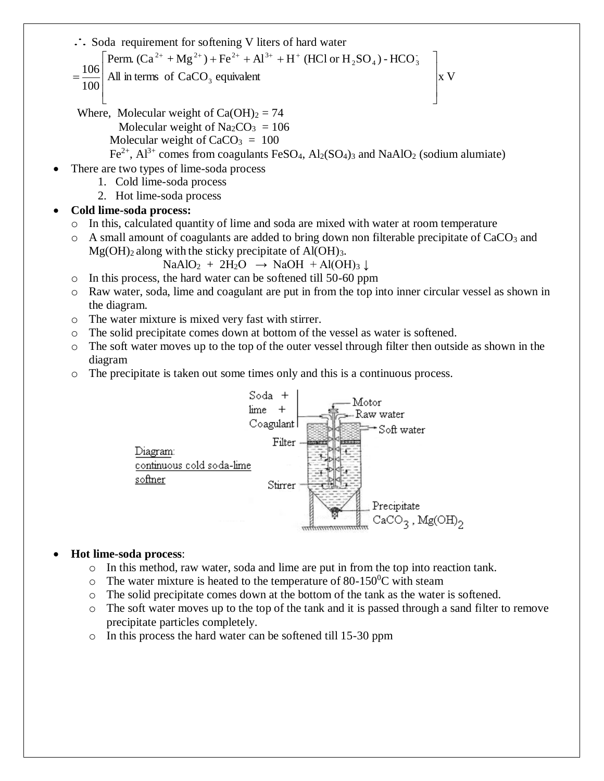.. Soda requirement for softening V liters of hard water

$$
\int \text{Perm.} (Ca^{2+} + Mg^{2+}) + Fe^{2+} + Al^{3+} + H^{+} (HCl \text{ or } H_2SO_4) - HCO_3^{-}
$$

- All in terms of  $CaCO<sub>3</sub>$  equivalent  $\begin{bmatrix} x & V \end{bmatrix}$ 100 106  $\mathbf{r}$ L L  $=$
- $\rfloor$ Where, Molecular weight of  $Ca(OH)_2 = 74$ Molecular weight of  $Na_2CO_3 = 106$ Molecular weight of  $CaCO<sub>3</sub> = 100$  $Fe^{2+}$ ,  $Al^{3+}$  comes from coagulants FeSO<sub>4</sub>,  $Al_2(SO_4)$ <sub>3</sub> and NaAlO<sub>2</sub> (sodium alumiate)

⅂

- There are two types of lime-soda process
	- 1. Cold lime-soda process
	- 2. Hot lime-soda process

# **Cold lime-soda process:**

- $\circ$  In this, calculated quantity of lime and soda are mixed with water at room temperature
- $\circ$  A small amount of coagulants are added to bring down non filterable precipitate of CaCO<sub>3</sub> and  $Mg(OH)_2$  along with the sticky precipitate of  $Al(OH)_3$ .

 $NaAlO<sub>2</sub> + 2H<sub>2</sub>O \rightarrow NaOH + Al(OH)<sub>3</sub>$ 

- o In this process, the hard water can be softened till 50-60 ppm
- o Raw water, soda, lime and coagulant are put in from the top into inner circular vessel as shown in the diagram.
- o The water mixture is mixed very fast with stirrer.
- o The solid precipitate comes down at bottom of the vessel as water is softened.
- o The soft water moves up to the top of the outer vessel through filter then outside as shown in the diagram
- o The precipitate is taken out some times only and this is a continuous process.



# **Hot lime-soda process**:

- o In this method, raw water, soda and lime are put in from the top into reaction tank.
- $\circ$  The water mixture is heated to the temperature of 80-150<sup>o</sup>C with steam
- o The solid precipitate comes down at the bottom of the tank as the water is softened.
- $\circ$  The soft water moves up to the top of the tank and it is passed through a sand filter to remove precipitate particles completely.
- o In this process the hard water can be softened till 15-30 ppm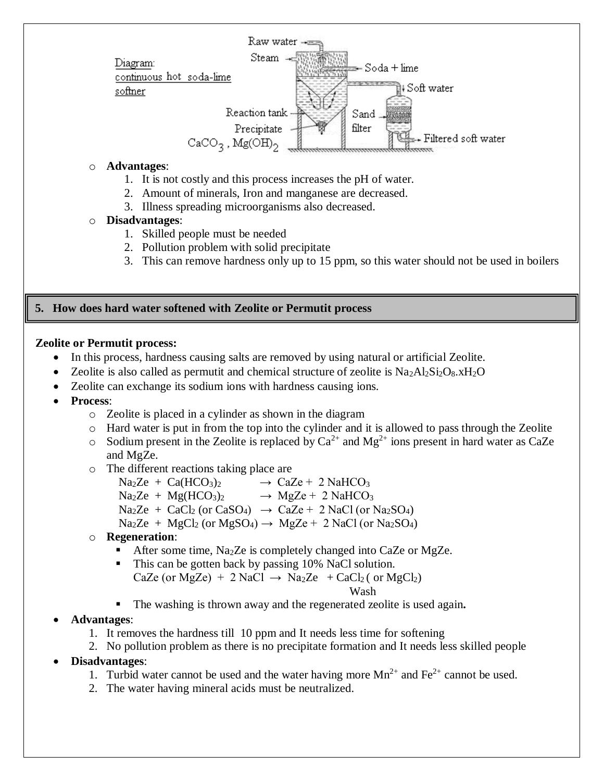

- 1. It is not costly and this process increases the pH of water.
- 2. Amount of minerals, Iron and manganese are decreased.
- 3. Illness spreading microorganisms also decreased.
- o **Disadvantages**:
	- 1. Skilled people must be needed
	- 2. Pollution problem with solid precipitate
	- 3. This can remove hardness only up to 15 ppm, so this water should not be used in boilers

#### **5. How does hard water softened with Zeolite or Permutit process**

#### **Zeolite or Permutit process:**

- In this process, hardness causing salts are removed by using natural or artificial Zeolite.
- Zeolite is also called as permutit and chemical structure of zeolite is  $Na<sub>2</sub>Al<sub>2</sub>Si<sub>2</sub>O<sub>8</sub>$ .xH<sub>2</sub>O
	- Zeolite can exchange its sodium ions with hardness causing ions.
- **Process**:
	- o Zeolite is placed in a cylinder as shown in the diagram
	- o Hard water is put in from the top into the cylinder and it is allowed to pass through the Zeolite
	- $\circ$  Sodium present in the Zeolite is replaced by Ca<sup>2+</sup> and Mg<sup>2+</sup> ions present in hard water as CaZe and MgZe.
	- o The different reactions taking place are
		- $\text{Na}_2\text{Ze} + \text{Ca}(\text{HCO}_3)_2 \rightarrow \text{Ca}_2\text{Ze} + 2 \text{Na}(\text{HCO}_3)$
		- $\text{Na}_2\text{Ze} + \text{Mg}(\text{HCO}_3)_2 \rightarrow \text{MgZe} + 2 \text{NaHCO}_3$
		- $\text{Na}_2\text{Ze} + \text{CaCl}_2 \text{ (or CaSO)} \rightarrow \text{CaZe} + 2 \text{NaCl (or Na}_2\text{SO}_4)$
		- $\text{Na}_2\text{Ze} + \text{MgCl}_2 \text{ (or MgSO}_4) \rightarrow \text{MgZe} + 2 \text{NaCl} \text{ (or Na}_2\text{SO}_4)$
	- o **Regeneration**:
		- After some time, Na<sub>2</sub>Ze is completely changed into CaZe or MgZe.
		- This can be gotten back by passing 10% NaCl solution.
			- CaZe (or MgZe) + 2 NaCl  $\rightarrow$  Na<sub>2</sub>Ze + CaCl<sub>2</sub> (or MgCl<sub>2</sub>) Wash Wash

- The washing is thrown away and the regenerated zeolite is used again**.**
- **Advantages**:
	- 1. It removes the hardness till 10 ppm and It needs less time for softening
	- 2. No pollution problem as there is no precipitate formation and It needs less skilled people
- **Disadvantages**:
	- 1. Turbid water cannot be used and the water having more  $Mn^{2+}$  and  $Fe^{2+}$  cannot be used.
	- 2. The water having mineral acids must be neutralized.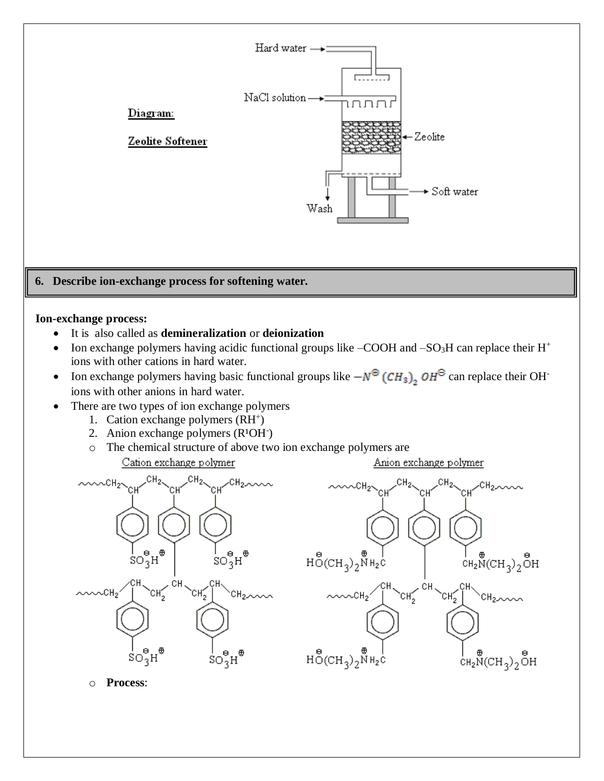

o **Process**: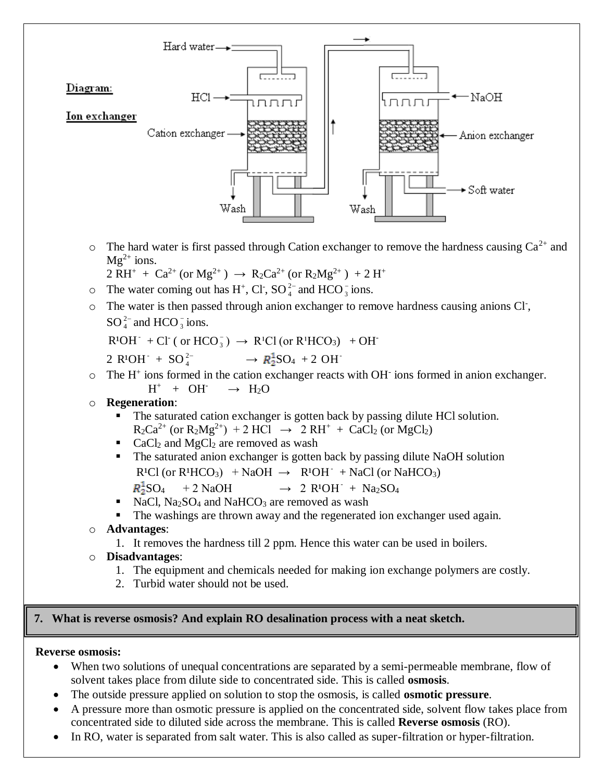

 $\circ$  The hard water is first passed through Cation exchanger to remove the hardness causing Ca<sup>2+</sup> and  $Mg^{2+}$  ions.

$$
2 \, RH^+ + \, Ca^{2+} \, (or \, Mg^{2+}) \, \rightarrow \, R_2 Ca^{2+} \, (or \, R_2 Mg^{2+}) \, + 2 \, H^+
$$

- $\circ$  The water coming out has H<sup>+</sup>, Cl<sup>-</sup>, SO<sup>2</sup><sup>-</sup>  $^{2-}_{4}$  and HCO<sub>3</sub> ions.
- o The water is then passed through anion exchanger to remove hardness causing anions Cl- ,  $\mathrm{SO}_4^{\text{2--}}$  $^{2-}_{4}$  and HCO  $^{-}_{3}$  ions.

 $R^{1}OH^{-} + Cl^{-}$  ( or  $HCO_{3}^{-}$  )  $\rightarrow$   $R^{1}Cl$  (or  $R^{1}HCO_{3}$ )  $+OH^{-}$ 

$$
2 \text{ } R^1 \text{OH}^+ + \text{SO}_4^{2-} \longrightarrow R_2^1 \text{SO}_4 + 2 \text{ } \text{OH}^+
$$

- $\circ$  The H<sup>+</sup> ions formed in the cation exchanger reacts with OH<sup>-</sup> ions formed in anion exchanger.  $H^+ + OH^ \rightarrow$  H<sub>2</sub>O
- o **Regeneration**:
	- The saturated cation exchanger is gotten back by passing dilute HCl solution.  $R_2Ca^{2+}$  (or  $R_2Mg^{2+}$ ) + 2 HCl  $\rightarrow$  2 RH<sup>+</sup> + CaCl<sub>2</sub> (or MgCl<sub>2</sub>)
	- $\blacksquare$  CaCl<sub>2</sub> and MgCl<sub>2</sub> are removed as wash
	- The saturated anion exchanger is gotten back by passing dilute NaOH solution  $R<sup>1</sup>Cl$  (or  $R<sup>1</sup>HCO<sub>3</sub>$ ) + NaOH  $\rightarrow$   $R<sup>1</sup>OH$  + NaCl (or NaHCO<sub>3</sub>)  $R_2^1SO_4$  + 2 NaOH
	- $R^1OH^- + Na_2SO_4$ NaCl,  $Na<sub>2</sub>SO<sub>4</sub>$  and NaHCO<sub>3</sub> are removed as wash
	- The washings are thrown away and the regenerated ion exchanger used again.

# o **Advantages**:

- 1. It removes the hardness till 2 ppm. Hence this water can be used in boilers.
- o **Disadvantages**:
	- 1. The equipment and chemicals needed for making ion exchange polymers are costly.
	- 2. Turbid water should not be used.

# **7. What is reverse osmosis? And explain RO desalination process with a neat sketch.**

# **Reverse osmosis:**

- When two solutions of unequal concentrations are separated by a semi-permeable membrane, flow of solvent takes place from dilute side to concentrated side. This is called **osmosis**.
- The outside pressure applied on solution to stop the osmosis, is called **osmotic pressure**.
- A pressure more than osmotic pressure is applied on the concentrated side, solvent flow takes place from concentrated side to diluted side across the membrane. This is called **Reverse osmosis** (RO).
- In RO, water is separated from salt water. This is also called as super-filtration or hyper-filtration.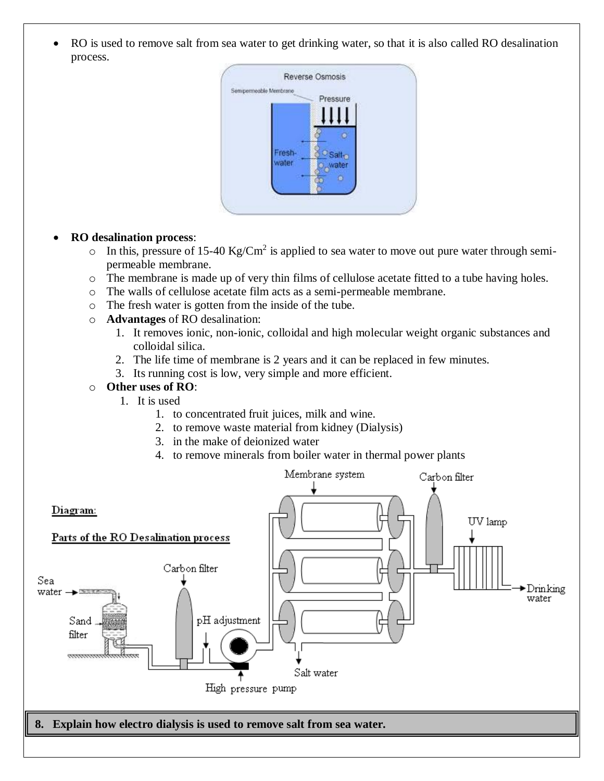• RO is used to remove salt from sea water to get drinking water, so that it is also called RO desalination process.



#### **RO desalination process**:

- $\circ$  In this, pressure of 15-40 Kg/Cm<sup>2</sup> is applied to sea water to move out pure water through semipermeable membrane.
- o The membrane is made up of very thin films of cellulose acetate fitted to a tube having holes.
- o The walls of cellulose acetate film acts as a semi-permeable membrane.
- o The fresh water is gotten from the inside of the tube.
- o **Advantages** of RO desalination:
	- 1. It removes ionic, non-ionic, colloidal and high molecular weight organic substances and colloidal silica.
	- 2. The life time of membrane is 2 years and it can be replaced in few minutes.
	- 3. Its running cost is low, very simple and more efficient.

#### o **Other uses of RO**:

- 1. It is used
	- 1. to concentrated fruit juices, milk and wine.
	- 2. to remove waste material from kidney (Dialysis)
	- 3. in the make of deionized water
	- 4. to remove minerals from boiler water in thermal power plants

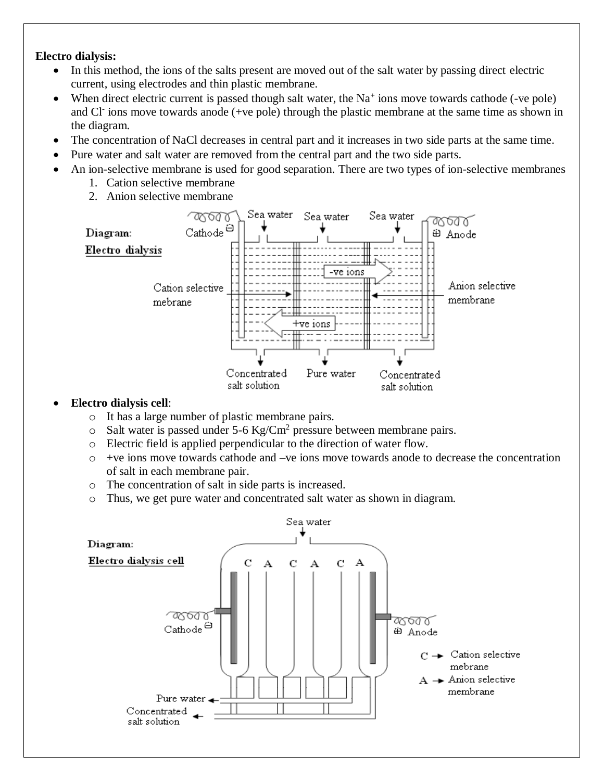#### **Electro dialysis:**

- In this method, the ions of the salts present are moved out of the salt water by passing direct electric current, using electrodes and thin plastic membrane.
- When direct electric current is passed though salt water, the  $Na<sup>+</sup>$  ions move towards cathode (-ve pole) and Cl<sup>-</sup> ions move towards anode (+ve pole) through the plastic membrane at the same time as shown in the diagram.
- The concentration of NaCl decreases in central part and it increases in two side parts at the same time.
- Pure water and salt water are removed from the central part and the two side parts.
- An ion-selective membrane is used for good separation. There are two types of ion-selective membranes
	- 1. Cation selective membrane
	- 2. Anion selective membrane



# **Electro dialysis cell**:

- o It has a large number of plastic membrane pairs.
- $\circ$  Salt water is passed under 5-6 Kg/Cm<sup>2</sup> pressure between membrane pairs.
- o Electric field is applied perpendicular to the direction of water flow.
- $\circ$  +ve ions move towards cathode and –ve ions move towards anode to decrease the concentration of salt in each membrane pair.
- o The concentration of salt in side parts is increased.
- o Thus, we get pure water and concentrated salt water as shown in diagram.

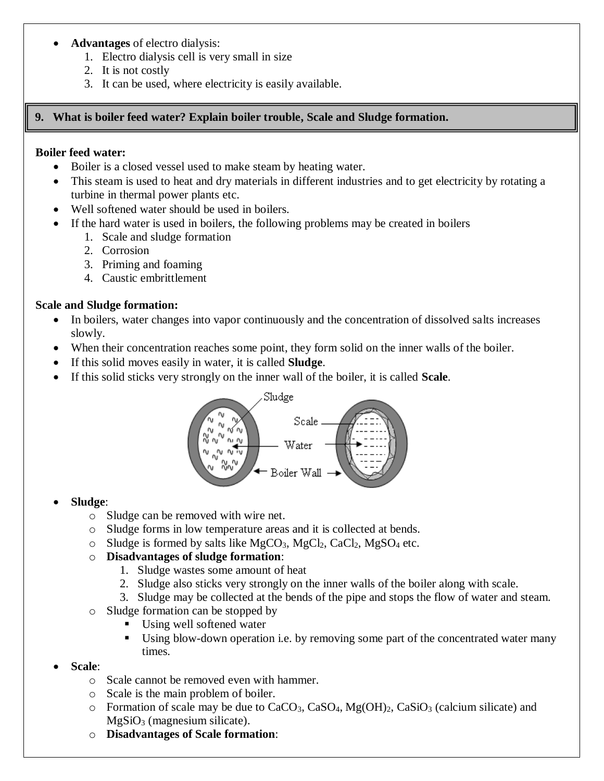# **Advantages** of electro dialysis:

- 1. Electro dialysis cell is very small in size
- 2. It is not costly
- 3. It can be used, where electricity is easily available.

# **9. What is boiler feed water? Explain boiler trouble, Scale and Sludge formation.**

# **Boiler feed water:**

- Boiler is a closed vessel used to make steam by heating water.
- This steam is used to heat and dry materials in different industries and to get electricity by rotating a turbine in thermal power plants etc.
- Well softened water should be used in boilers.
	- If the hard water is used in boilers, the following problems may be created in boilers
		- 1. Scale and sludge formation
		- 2. Corrosion
		- 3. Priming and foaming
		- 4. Caustic embrittlement

# **Scale and Sludge formation:**

- In boilers, water changes into vapor continuously and the concentration of dissolved salts increases slowly.
- When their concentration reaches some point, they form solid on the inner walls of the boiler.
- If this solid moves easily in water, it is called **Sludge**.
- If this solid sticks very strongly on the inner wall of the boiler, it is called **Scale**.



# **Sludge**:

- o Sludge can be removed with wire net.
- o Sludge forms in low temperature areas and it is collected at bends.
- $\circ$  Sludge is formed by salts like MgCO<sub>3</sub>, MgCl<sub>2</sub>, CaCl<sub>2</sub>, MgSO<sub>4</sub> etc.

# o **Disadvantages of sludge formation**:

- 1. Sludge wastes some amount of heat
- 2. Sludge also sticks very strongly on the inner walls of the boiler along with scale.
- 3. Sludge may be collected at the bends of the pipe and stops the flow of water and steam.
- o Sludge formation can be stopped by
	- Using well softened water
	- Using blow-down operation i.e. by removing some part of the concentrated water many times.

# **Scale**:

- o Scale cannot be removed even with hammer.
- o Scale is the main problem of boiler.
- $\circ$  Formation of scale may be due to CaCO<sub>3</sub>, CaSO<sub>4</sub>, Mg(OH)<sub>2</sub>, CaSiO<sub>3</sub> (calcium silicate) and  $MgSiO<sub>3</sub>$  (magnesium silicate).
- o **Disadvantages of Scale formation**: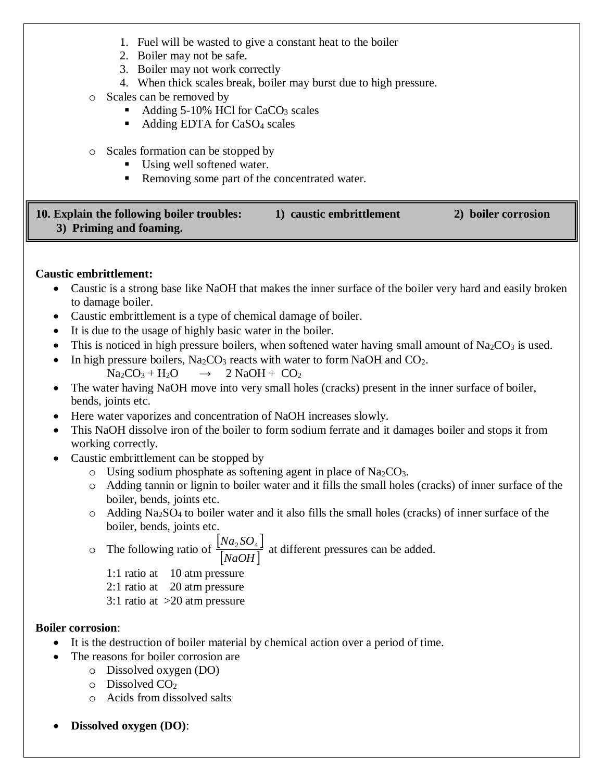- 1. Fuel will be wasted to give a constant heat to the boiler
- 2. Boiler may not be safe.
- 3. Boiler may not work correctly
- 4. When thick scales break, boiler may burst due to high pressure.
- o Scales can be removed by
	- Adding  $5-10\%$  HCl for CaCO<sub>3</sub> scales
	- Adding EDTA for CaSO<sub>4</sub> scales
- o Scales formation can be stopped by
	- Using well softened water.
	- Removing some part of the concentrated water.

| 10. Explain the following boiler troubles: | 1) caustic embrittlement | 2) boiler corrosion |
|--------------------------------------------|--------------------------|---------------------|
| 3) Priming and foaming.                    |                          |                     |

# **Caustic embrittlement:**

- Caustic is a strong base like NaOH that makes the inner surface of the boiler very hard and easily broken to damage boiler.
- Caustic embrittlement is a type of chemical damage of boiler.
- It is due to the usage of highly basic water in the boiler.
- This is noticed in high pressure boilers, when softened water having small amount of  $Na_2CO_3$  is used.
- In high pressure boilers,  $Na<sub>2</sub>CO<sub>3</sub>$  reacts with water to form NaOH and CO<sub>2</sub>.

$$
Na_2CO_3 + H_2O \qquad \rightarrow \quad 2\ NaOH + CO_2
$$

- The water having NaOH move into very small holes (cracks) present in the inner surface of boiler, bends, joints etc.
- Here water vaporizes and concentration of NaOH increases slowly.
- This NaOH dissolve iron of the boiler to form sodium ferrate and it damages boiler and stops it from working correctly.
- Caustic embrittlement can be stopped by
	- $\circ$  Using sodium phosphate as softening agent in place of Na<sub>2</sub>CO<sub>3</sub>.
	- o Adding tannin or lignin to boiler water and it fills the small holes (cracks) of inner surface of the boiler, bends, joints etc.
	- $\circ$  Adding Na<sub>2</sub>SO<sub>4</sub> to boiler water and it also fills the small holes (cracks) of inner surface of the boiler, bends, joints etc.

o The following ratio of  $|Na, SO_4|$ *NaOH*  $\left[\frac{Na_2SO_4}\right]$  at different pressures can be added.

1:1 ratio at 10 atm pressure

2:1 ratio at 20 atm pressure

3:1 ratio at >20 atm pressure

# **Boiler corrosion**:

- It is the destruction of boiler material by chemical action over a period of time.
- The reasons for boiler corrosion are
	- o Dissolved oxygen (DO)
	- $\circ$  Dissolved CO<sub>2</sub>
	- o Acids from dissolved salts
- **Dissolved oxygen (DO)**: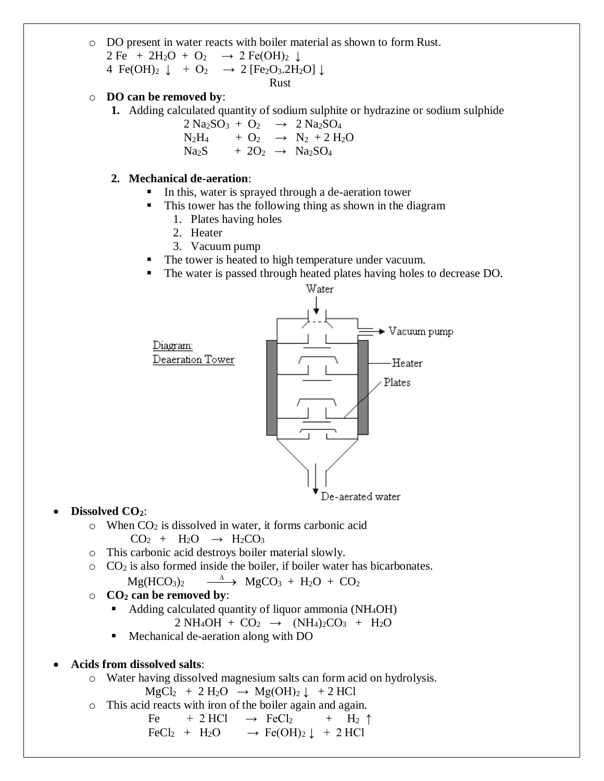- o DO present in water reacts with boiler material as shown to form Rust.  $2 \text{Fe} + 2\text{H}_2\text{O} + \text{O}_2 \rightarrow 2 \text{Fe(OH)}_2 \downarrow$ 4 Fe(OH)<sub>2</sub>  $\downarrow$  + O<sub>2</sub>  $\rightarrow$  2 [Fe<sub>2</sub>O<sub>3</sub>.2H<sub>2</sub>O]  $\downarrow$ 
	- Rust

#### o **DO can be removed by**:

**1.** Adding calculated quantity of sodium sulphite or hydrazine or sodium sulphide

 $2 \text{ Na}_2\text{SO}_3 + \text{O}_2 \rightarrow 2 \text{ Na}_2\text{SO}_4$  $N_2H_4$  + O<sub>2</sub>  $\rightarrow$  N<sub>2</sub> + 2 H<sub>2</sub>O  $Na<sub>2</sub>S + 2O<sub>2</sub> \rightarrow Na<sub>2</sub>SO<sub>4</sub>$ 

#### **2. Mechanical de-aeration**:

- In this, water is sprayed through a de-aeration tower
- **This tower has the following thing as shown in the diagram** 
	- 1. Plates having holes
	- 2. Heater
	- 3. Vacuum pump
- The tower is heated to high temperature under vacuum.
- The water is passed through heated plates having holes to decrease DO.



#### **Dissolved CO2**:

- $\circ$  When CO<sub>2</sub> is dissolved in water, it forms carbonic acid  $CO<sub>2</sub> + H<sub>2</sub>O \rightarrow H<sub>2</sub>CO<sub>3</sub>$
- o This carbonic acid destroys boiler material slowly.
- o CO<sup>2</sup> is also formed inside the boiler, if boiler water has bicarbonates.

$$
Mg(HCO3)2 \xrightarrow{\quad \Delta \quad} MgCO3 + H2O + CO2
$$

- o **CO<sup>2</sup> can be removed by**:
	- Adding calculated quantity of liquor ammonia (NH4OH)

$$
2 NH_4OH + CO_2 \rightarrow (NH_4)_2CO_3 + H_2O
$$

- Mechanical de-aeration along with DO
- **Acids from dissolved salts**:
	- o Water having dissolved magnesium salts can form acid on hydrolysis.

$$
MgCl_2 + 2 H_2O \rightarrow Mg(OH)_2 \downarrow + 2 HCl
$$

o This acid reacts with iron of the boiler again and again.

$$
\begin{array}{l}\n\text{Fe} & + 2 \text{ HCl} \rightarrow \text{FeCl}_2 + \text{H}_2 \uparrow \\
\text{FeCl}_2 & + \text{H}_2\text{O} \rightarrow \text{Fe(OH)}_2 \downarrow + 2 \text{ HCl}\n\end{array}
$$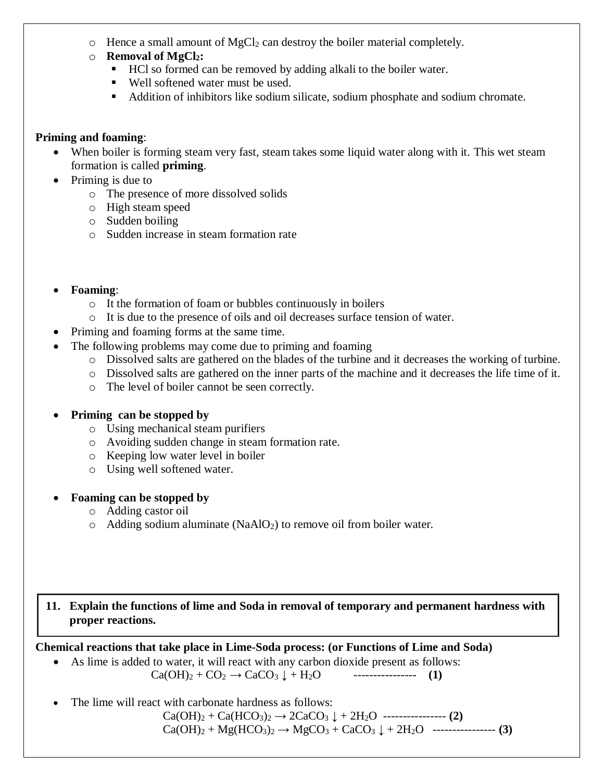- $\circ$  Hence a small amount of MgCl<sub>2</sub> can destroy the boiler material completely.
- o **Removal of MgCl2:** 
	- HCl so formed can be removed by adding alkali to the boiler water.
	- Well softened water must be used.
	- Addition of inhibitors like sodium silicate, sodium phosphate and sodium chromate.

# **Priming and foaming**:

- When boiler is forming steam very fast, steam takes some liquid water along with it. This wet steam formation is called **priming**.
- $\bullet$  Priming is due to
	- o The presence of more dissolved solids
	- o High steam speed
	- o Sudden boiling
	- o Sudden increase in steam formation rate
- **Foaming**:
	- o It the formation of foam or bubbles continuously in boilers
	- o It is due to the presence of oils and oil decreases surface tension of water.
- Priming and foaming forms at the same time.
- The following problems may come due to priming and foaming
	- o Dissolved salts are gathered on the blades of the turbine and it decreases the working of turbine.
	- o Dissolved salts are gathered on the inner parts of the machine and it decreases the life time of it.
	- o The level of boiler cannot be seen correctly.
- **Priming can be stopped by** 
	- o Using mechanical steam purifiers
	- o Avoiding sudden change in steam formation rate.
	- o Keeping low water level in boiler
	- o Using well softened water.
- **Foaming can be stopped by**
	- o Adding castor oil
	- $\circ$  Adding sodium aluminate (NaAlO<sub>2</sub>) to remove oil from boiler water.

# **11. Explain the functions of lime and Soda in removal of temporary and permanent hardness with proper reactions.**

**Chemical reactions that take place in Lime-Soda process: (or Functions of Lime and Soda)**

As lime is added to water, it will react with any carbon dioxide present as follows:

 $Ca(OH)_2 + CO_2 \rightarrow CaCO_3 \downarrow + H_2O$  ------------------- (1)

The lime will react with carbonate hardness as follows:

 $Ca(OH)_2 + Ca(HCO_3)_2 \rightarrow 2CaCO_3 \downarrow + 2H_2O$  ------------------ (2)  $Ca(OH)_2 + Mg(HCO_3)_2 \rightarrow MgCO_3 + CaCO_3 \downarrow + 2H_2O$  ----------------- **(3)**